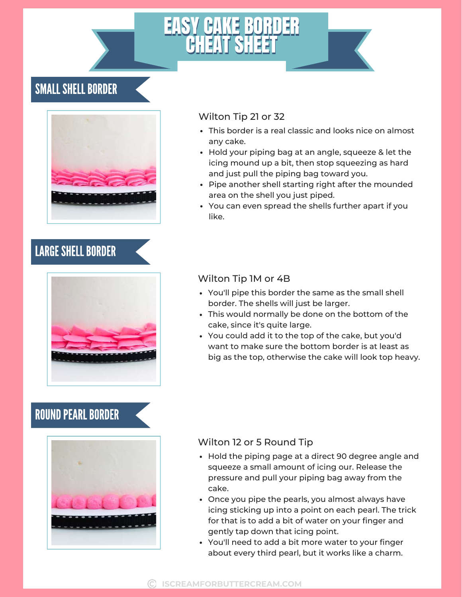## SMALL SHELL BORDER



# LARGE SHELL BORDER



### ROUND PEARL BORDER



#### Wilton Tip 21 or 32

- This border is a real classic and looks nice on almost any cake.
- Hold your piping bag at an angle, squeeze & let the icing mound up a bit, then stop squeezing as hard and just pull the piping bag toward you.
- Pipe another shell starting right after the mounded area on the shell you just piped.
- You can even spread the shells further apart if you like.

### Wilton Tip 1M or 4B

- You'll pipe this border the same as the small shell border. The shells will just be larger.
- This would normally be done on the bottom of the cake, since it's quite large.
- You could add it to the top of the cake, but you'd want to make sure the bottom border is at least as big as the top, otherwise the cake will look top heavy.

#### Wilton 12 or 5 Round Tip

- Hold the piping page at a direct 90 degree angle and squeeze a small amount of icing our. Release the pressure and pull your piping bag away from the cake.
- Once you pipe the pearls, you almost always have icing sticking up into a point on each pearl. The trick for that is to add a bit of water on your finger and gently tap down that icing point.
- You'll need to add a bit more water to your finger about every third pearl, but it works like a charm.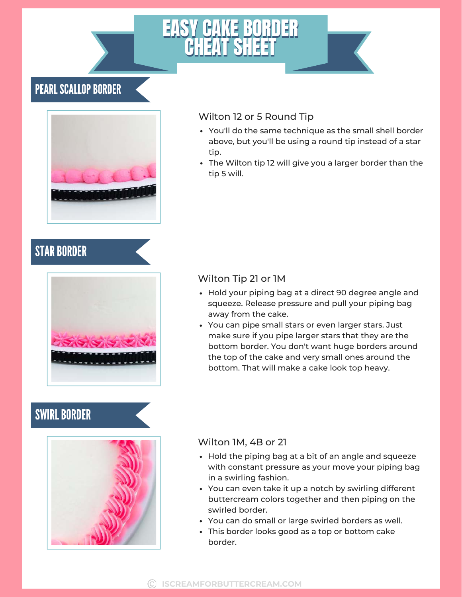### PEARL SCALLOP BORDER



#### Wilton 12 or 5 Round Tip

- You'll do the same technique as the small shell border above, but you'll be using a round tip instead of a star tip.
- The Wilton tip 12 will give you a larger border than the tip 5 will.

### **STAR BORDER**



### **SWIRL BORDER**



### Wilton Tip 21 or 1M

- Hold your piping bag at a direct 90 degree angle and squeeze. Release pressure and pull your piping bag away from the cake.
- You can pipe small stars or even larger stars. Just make sure if you pipe larger stars that they are the bottom border. You don't want huge borders around the top of the cake and very small ones around the bottom. That will make a cake look top heavy.

#### Wilton 1M, 4B or 21

- Hold the piping bag at a bit of an angle and squeeze with constant pressure as your move your piping bag in a swirling fashion.
- You can even take it up a notch by swirling different buttercream colors together and then piping on the swirled border.
- You can do small or large swirled borders as well.
- This border looks good as a top or bottom cake border.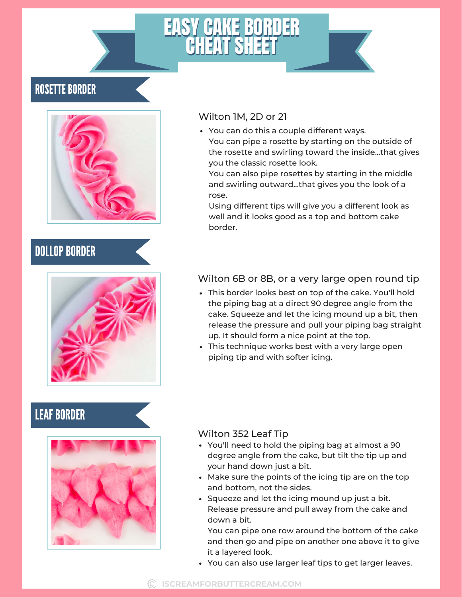### **ROSETTE BORDER**



# **DOLLOP BORDER**



### **LEAF BORDER**



#### Wilton 1M, 2D or 21

You can do this a couple different ways. You can pipe a rosette by starting on the outside of the rosette and swirling toward the inside...that gives you the classic rosette look.

You can also pipe rosettes by starting in the middle and swirling outward...that gives you the look of a rose.

Using different tips will give you a different look as well and it looks good as a top and bottom cake border.

### Wilton 6B or 8B, or a very large open round tip

- This border looks best on top of the cake. You'll hold the piping bag at a direct 90 degree angle from the cake. Squeeze and let the icing mound up a bit, then release the pressure and pull your piping bag straight up. It should form a nice point at the top.
- This technique works best with a very large open piping tip and with softer icing.

#### Wilton 352 Leaf Tip

- You'll need to hold the piping bag at almost a 90 degree angle from the cake, but tilt the tip up and your hand down just a bit.
- Make sure the points of the icing tip are on the top and bottom, not the sides.
- Squeeze and let the icing mound up just a bit. Release pressure and pull away from the cake and down a bit.

You can pipe one row around the bottom of the cake and then go and pipe on another one above it to give it a layered look.

You can also use larger leaf tips to get larger leaves.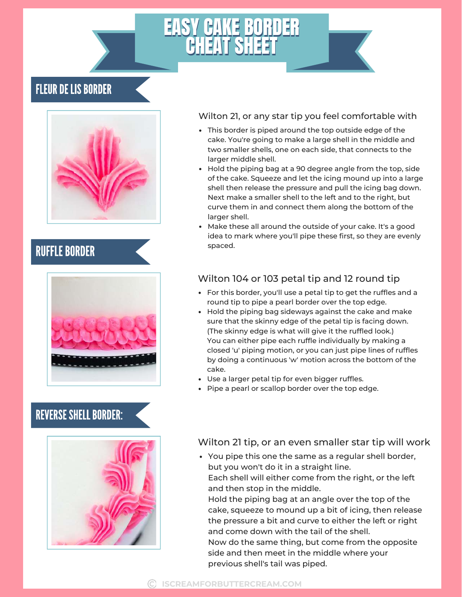### **FLEUR DE LIS BORDER**



### **RUFFLE BORDER** Spaced.



### REVERSE SHELL BORDER:



Wilton 21, or any star tip you feel comfortable with

- This border is piped around the top outside edge of the cake. You're going to make a large shell in the middle and two smaller shells, one on each side, that connects to the larger middle shell.
- Hold the piping bag at a 90 degree angle from the top, side of the cake. Squeeze and let the icing mound up into a large shell then release the pressure and pull the icing bag down. Next make a smaller shell to the left and to the right, but curve them in and connect them along the bottom of the larger shell.
- Make these all around the outside of your cake. It's a good idea to mark where you'll pipe these first, so they are evenly

### Wilton 104 or 103 petal tip and 12 round tip

- For this border, you'll use a petal tip to get the ruffles and a round tip to pipe a pearl border over the top edge.
- Hold the piping bag sideways against the cake and make sure that the skinny edge of the petal tip is facing down. (The skinny edge is what will give it the ruffled look.) You can either pipe each ruffle individually by making a closed 'u' piping motion, or you can just pipe lines of ruffles by doing a continuous 'w' motion across the bottom of the cake.
- Use a larger petal tip for even bigger ruffles.
- Pipe a pearl or scallop border over the top edge.

#### Wilton 21 tip, or an even smaller star tip will work

You pipe this one the same as a regular shell border, but you won't do it in a straight line. Each shell will either come from the right, or the left and then stop in the middle. Hold the piping bag at an angle over the top of the cake, squeeze to mound up a bit of icing, then release the pressure a bit and curve to either the left or right and come down with the tail of the shell. Now do the same thing, but come from the opposite side and then meet in the middle where your previous shell's tail was piped.

#### **ISCREAMFORBUTTERCREAM.COM**